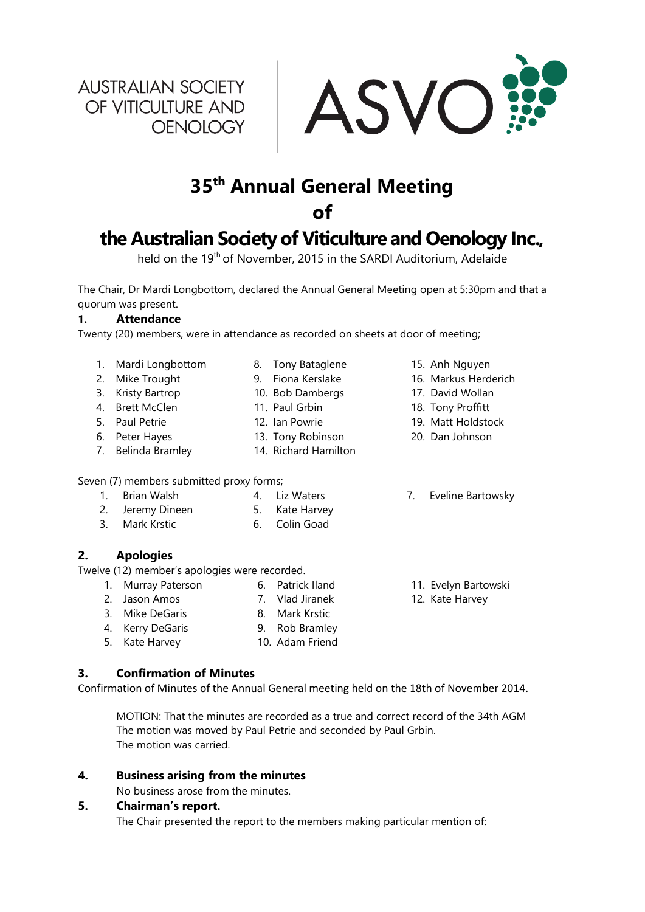**AUSTRALIAN SOCIETY** OF VITICULTURE AND OENOLOGY



# **35th Annual General Meeting**

**of** 

## **the Australian Society of Viticulture and Oenology Inc.,**

held on the 19<sup>th</sup> of November, 2015 in the SARDI Auditorium, Adelaide

The Chair, Dr Mardi Longbottom, declared the Annual General Meeting open at 5:30pm and that a quorum was present.

#### **1. Attendance**

Twenty (20) members, were in attendance as recorded on sheets at door of meeting;

1. Mardi Longbottom

2. Mike Trought 3. Kristy Bartrop 4. Brett McClen 5. Paul Petrie 6. Peter Hayes 7. Belinda Bramley

- 8. Tony Bataglene
- 9. Fiona Kerslake
- 10. Bob Dambergs
- 11. Paul Grbin
- 12. Ian Powrie
- 13. Tony Robinson
- 14. Richard Hamilton
- Seven (7) members submitted proxy forms;
	- 1. Brian Walsh 4. Liz Waters
	- 2. Jeremy Dineen 5. Kate Harvey
	- 3. Mark Krstic 6. Colin Goad

## **2. Apologies**

Twelve (12) member's apologies were recorded.

- 1. Murray Paterson 6. Patrick Iland
- 2. Jason Amos 7. Vlad Jiranek
- 3. Mike DeGaris 8. Mark Krstic
- 4. Kerry DeGaris 9. Rob Bramley
- 5. Kate Harvey 10. Adam Friend

## **3. Confirmation of Minutes**

Confirmation of Minutes of the Annual General meeting held on the 18th of November 2014.

MOTION: That the minutes are recorded as a true and correct record of the 34th AGM The motion was moved by Paul Petrie and seconded by Paul Grbin. The motion was carried.

## **4. Business arising from the minutes**

No business arose from the minutes.

## **5. Chairman's report.**

The Chair presented the report to the members making particular mention of:

- 15. Anh Nguyen
- 16. Markus Herderich
- 17. David Wollan
- 18. Tony Proffitt
- 19. Matt Holdstock
- 20. Dan Johnson
- 7. Eveline Bartowsky
- 11. Evelyn Bartowski
- 12. Kate Harvey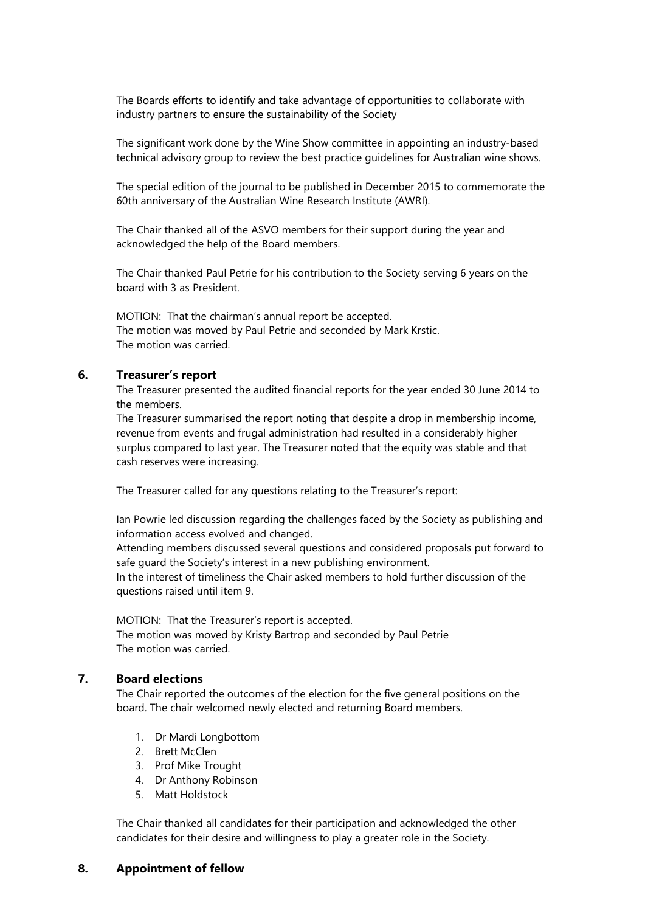The Boards efforts to identify and take advantage of opportunities to collaborate with industry partners to ensure the sustainability of the Society

The significant work done by the Wine Show committee in appointing an industry-based technical advisory group to review the best practice guidelines for Australian wine shows.

The special edition of the journal to be published in December 2015 to commemorate the 60th anniversary of the Australian Wine Research Institute (AWRI).

The Chair thanked all of the ASVO members for their support during the year and acknowledged the help of the Board members.

The Chair thanked Paul Petrie for his contribution to the Society serving 6 years on the board with 3 as President.

MOTION: That the chairman's annual report be accepted. The motion was moved by Paul Petrie and seconded by Mark Krstic. The motion was carried.

#### **6. Treasurer's report**

The Treasurer presented the audited financial reports for the year ended 30 June 2014 to the members.

The Treasurer summarised the report noting that despite a drop in membership income, revenue from events and frugal administration had resulted in a considerably higher surplus compared to last year. The Treasurer noted that the equity was stable and that cash reserves were increasing.

The Treasurer called for any questions relating to the Treasurer's report:

Ian Powrie led discussion regarding the challenges faced by the Society as publishing and information access evolved and changed.

Attending members discussed several questions and considered proposals put forward to safe guard the Society's interest in a new publishing environment.

In the interest of timeliness the Chair asked members to hold further discussion of the questions raised until item 9.

MOTION: That the Treasurer's report is accepted. The motion was moved by Kristy Bartrop and seconded by Paul Petrie The motion was carried.

#### **7. Board elections**

The Chair reported the outcomes of the election for the five general positions on the board. The chair welcomed newly elected and returning Board members.

- 1. Dr Mardi Longbottom
- 2. Brett McClen
- 3. Prof Mike Trought
- 4. Dr Anthony Robinson
- 5. Matt Holdstock

The Chair thanked all candidates for their participation and acknowledged the other candidates for their desire and willingness to play a greater role in the Society.

#### **8. Appointment of fellow**